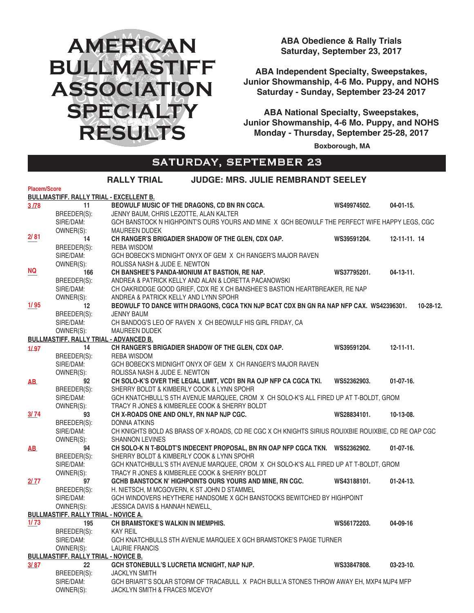# **AMERICAN BULLMASTIFF ASSOCIATION SPECIALTY RESULTS**

**ABA Obedience & Rally Trials Saturday, September 23, 2017**

**ABA Independent Specialty, Sweepstakes, Junior Showmanship, 4-6 Mo. Puppy, and NOHS Saturday - Sunday, September 23-24 2017**

**ABA National Specialty, Sweepstakes, Junior Showmanship, 4-6 Mo. Puppy, and NOHS Monday - Thursday, September 25-28, 2017**

 **Boxborough, MA**

#### SATURDAY, SEPTEMBER 23 **RALLY TRIAL JUDGE: MRS. JULIE REMBRANDT SEELEY**

|                     |                                                | RALLY IRIAL<br>JUDGE: MRS. JULIE REMBRANDI SEELET                                                   |             |                     |
|---------------------|------------------------------------------------|-----------------------------------------------------------------------------------------------------|-------------|---------------------|
| <b>Placem/Score</b> |                                                |                                                                                                     |             |                     |
|                     | <b>BULLMASTIFF. RALLY TRIAL - EXCELLENT B.</b> |                                                                                                     |             |                     |
| 3/78                | 11                                             | BEOWULF MUSIC OF THE DRAGONS, CD BN RN CGCA.                                                        | WS49974502. | 04-01-15.           |
|                     | BREEDER(S):                                    | JENNY BAUM, CHRIS LEZOTTE, ALAN KALTER                                                              |             |                     |
|                     | SIRE/DAM:                                      | GCH BANSTOCK N HIGHPOINT'S OURS YOURS AND MINE X GCH BEOWULF THE PERFECT WIFE HAPPY LEGS, CGC       |             |                     |
|                     | OWNER(S):                                      | <b>MAUREEN DUDEK</b>                                                                                |             |                     |
| 2/81                | 14                                             | CH RANGER'S BRIGADIER SHADOW OF THE GLEN, CDX OAP.                                                  | WS39591204. | $12 - 11 - 11$ , 14 |
|                     | BREEDER(S):                                    | REBA WISDOM                                                                                         |             |                     |
|                     | SIRE/DAM:                                      | GCH BOBECK'S MIDNIGHT ONYX OF GEM X CH RANGER'S MAJOR RAVEN                                         |             |                     |
|                     | OWNER(S):                                      | ROLISSA NASH & JUDE E. NEWTON                                                                       |             |                     |
| NQ                  | 166                                            | CH BANSHEE'S PANDA-MONIUM AT BASTION, RE NAP.                                                       | WS37795201. | $04-13-11.$         |
|                     | BREEDER(S):                                    | ANDREA & PATRICK KELLY AND ALAN & LORETTA PACANOWSKI                                                |             |                     |
|                     | SIRE/DAM:                                      | CH OAKRIDDGE GOOD GRIEF, CDX RE X CH BANSHEE'S BASTION HEARTBREAKER, RE NAP                         |             |                     |
|                     | OWNER(S):                                      | ANDREA & PATRICK KELLY AND LYNN SPOHR                                                               |             |                     |
| 1/95                | 12                                             | BEOWULF TO DANCE WITH DRAGONS, CGCA TKN NJP BCAT CDX BN GN RA NAP NFP CAX. WS42396301.              |             | 10-28-12.           |
|                     | BREEDER(S):                                    | <b>JENNY BAUM</b>                                                                                   |             |                     |
|                     | SIRE/DAM:                                      | CH BANDOG'S LEO OF RAVEN X CH BEOWULF HIS GIRL FRIDAY, CA                                           |             |                     |
|                     | OWNER(S):                                      | <b>MAUREEN DUDEK</b>                                                                                |             |                     |
|                     | <b>BULLMASTIFF. RALLY TRIAL - ADVANCED B.</b>  |                                                                                                     |             |                     |
| 1/97                | 14                                             | CH RANGER'S BRIGADIER SHADOW OF THE GLEN, CDX OAP.                                                  | WS39591204. | $12 - 11 - 11$ .    |
|                     | BREEDER(S):                                    | REBA WISDOM                                                                                         |             |                     |
|                     | SIRE/DAM:                                      | GCH BOBECK'S MIDNIGHT ONYX OF GEM X CH RANGER'S MAJOR RAVEN                                         |             |                     |
|                     | OWNER(S):                                      | ROLISSA NASH & JUDE E. NEWTON                                                                       |             |                     |
| AB.                 | 92                                             | CH SOLO-K'S OVER THE LEGAL LIMIT, VCD1 BN RA OJP NFP CA CGCA TKI.                                   | WS52362903. | $01-07-16.$         |
|                     | BREEDER(S):                                    | SHERRY BOLDT & KIMBERLY COOK & LYNN SPOHR                                                           |             |                     |
|                     | SIRE/DAM:                                      | GCH KNATCHBULL'S 5TH AVENUE MARQUEE, CROM X CH SOLO-K'S ALL FIRED UP AT T-BOLDT, GROM               |             |                     |
|                     | OWNER(S):                                      | TRACY R JONES & KIMBERLEE COOK & SHERRY BOLDT                                                       |             |                     |
| 3/74                | 93                                             | CH X-ROADS ONE AND ONLY, RN NAP NJP CGC.                                                            | WS28834101. | 10-13-08.           |
|                     | BREEDER(S):                                    | <b>DONNA ATKINS</b>                                                                                 |             |                     |
|                     | SIRE/DAM:                                      | CH KNIGHTS BOLD AS BRASS OF X-ROADS, CD RE CGC X CH KNIGHTS SIRIUS ROUIXBIE ROUIXBIE, CD RE OAP CGC |             |                     |
|                     | OWNER(S):                                      | <b>SHANNON LEVINES</b>                                                                              |             |                     |
| <b>AB</b>           | 94                                             | CH SOLO-K N T-BOLDT'S INDECENT PROPOSAL, BN RN OAP NFP CGCA TKN. WS52362902.                        |             | $01-07-16.$         |
|                     | BREEDER(S):                                    | SHERRY BOLDT & KIMBERLY COOK & LYNN SPOHR                                                           |             |                     |
|                     | SIRE/DAM:                                      | GCH KNATCHBULL'S 5TH AVENUE MARQUEE, CROM X CH SOLO-K'S ALL FIRED UP AT T-BOLDT, GROM               |             |                     |
|                     | OWNER(S):                                      | TRACY R JONES & KIMBERLEE COOK & SHERRY BOLDT                                                       |             |                     |
| 2/77                | 97                                             | GCHB BANSTOCK N' HIGHPOINTS OURS YOURS AND MINE, RN CGC.                                            | WS43188101. | $01 - 24 - 13$ .    |
|                     | BREEDER(S):                                    | H. NIETSCH, M MCGOVERN, K ST JOHN D STAMMEL                                                         |             |                     |
|                     | SIRE/DAM:                                      | GCH WINDOVERS HEYTHERE HANDSOME X GCH BANSTOCKS BEWITCHED BY HIGHPOINT                              |             |                     |
|                     | OWNER(S):                                      | JESSICA DAVIS & HANNAH NEWELL                                                                       |             |                     |
|                     | <b>BULLMASTIFF. RALLY TRIAL - NOVICE A.</b>    |                                                                                                     |             |                     |
| 1/73                | 195                                            | <b>CH BRAMSTOKE'S WALKIN IN MEMPHIS.</b>                                                            | WS56172203. | 04-09-16            |
|                     | BREEDER(S):                                    | <b>KAY REIL</b>                                                                                     |             |                     |
|                     | SIRE/DAM:                                      | GCH KNATCHBULLS 5TH AVENUE MARQUEE X GCH BRAMSTOKE'S PAIGE TURNER                                   |             |                     |
|                     | OWNER(S):                                      | <b>LAURIE FRANCIS</b>                                                                               |             |                     |
|                     | <b>BULLMASTIFF. RALLY TRIAL - NOVICE B.</b>    |                                                                                                     |             |                     |
| 3/87                | 22                                             | GCH STONEBULL'S LUCRETIA MCNIGHT, NAP NJP.                                                          | WS33847808. | $03 - 23 - 10$ .    |
|                     | BREEDER(S):                                    | <b>JACKLYN SMITH</b>                                                                                |             |                     |
|                     |                                                |                                                                                                     |             |                     |
|                     | OWNER(S):                                      | JACKLYN SMITH & FRACES MCEVOY                                                                       |             |                     |
|                     | SIRE/DAM:                                      | GCH BRIART'S SOLAR STORM OF TRACABULL X PACH BULL'A STONES THROW AWAY EH, MXP4 MJP4 MFP             |             |                     |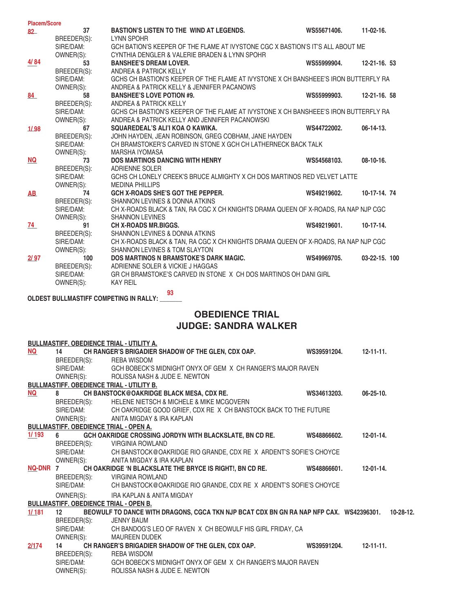| <b>Placem/Score</b> |             |                                                                                     |             |                   |
|---------------------|-------------|-------------------------------------------------------------------------------------|-------------|-------------------|
| $82-$               | 37          | <b>BASTION'S LISTEN TO THE WIND AT LEGENDS.</b>                                     | WS55671406. | $11-02-16.$       |
|                     | BREEDER(S): | <b>LYNN SPOHR</b>                                                                   |             |                   |
|                     | SIRE/DAM:   | GCH BATION'S KEEPER OF THE FLAME AT IVYSTONE CGC X BASTION'S IT'S ALL ABOUT ME      |             |                   |
|                     | OWNER(S):   | CYNTHIA DENGLER & VALERIE BRADEN & LYNN SPOHR                                       |             |                   |
| 4/84                | 53          | <b>BANSHEE'S DREAM LOVER.</b>                                                       | WS55999904. | $12 - 21 - 16.53$ |
|                     | BREEDER(S): | ANDREA & PATRICK KELLY                                                              |             |                   |
|                     | SIRE/DAM:   | GCHS CH BASTION'S KEEPER OF THE FLAME AT IVYSTONE X CH BANSHEEE'S IRON BUTTERFLY RA |             |                   |
|                     | OWNER(S):   | ANDREA & PATRICK KELLY & JENNIFER PACANOWS                                          |             |                   |
| 84                  | 58          | <b>BANSHEE'S LOVE POTION #9.</b>                                                    | WS55999903. | $12 - 21 - 16.58$ |
|                     | BREEDER(S): | ANDREA & PATRICK KELLY                                                              |             |                   |
|                     | SIRE/DAM:   | GCHS CH BASTION'S KEEPER OF THE FLAME AT IVYSTONE X CH BANSHEEE'S IRON BUTTERFLY RA |             |                   |
|                     | OWNER(S):   | ANDREA & PATRICK KELLY AND JENNIFER PACANOWSKI                                      |             |                   |
| 1/98                | 67          | SQUAREDEAL'S ALI'I KOA O KAWIKA.                                                    | WS44722002. | $06-14-13.$       |
|                     | BREEDER(S): | JOHN HAYDEN, JEAN ROBINSON, GREG COBHAM, JANE HAYDEN                                |             |                   |
|                     | SIRE/DAM:   | CH BRAMSTOKER'S CARVED IN STONE X GCH CH LATHERNECK BACK TALK                       |             |                   |
|                     | OWNER(S):   | <b>MARSHA IYOMASA</b>                                                               |             |                   |
| NQ                  | 73          | <b>DOS MARTINOS DANCING WITH HENRY</b>                                              | WS54568103. | $08-10-16.$       |
|                     | BREEDER(S): | <b>ADRIENNE SOLER</b>                                                               |             |                   |
|                     | SIRE/DAM:   | GCHS CH LONELY CREEK'S BRUCE ALMIGHTY X CH DOS MARTINOS RED VELVET LATTE            |             |                   |
|                     | OWNER(S):   | <b>MEDINA PHILLIPS</b>                                                              |             |                   |
| <b>AB</b>           | 74          | <b>GCH X-ROADS SHE'S GOT THE PEPPER.</b>                                            | WS49219602. | 10-17-14. 74      |
|                     | BREEDER(S): | SHANNON LEVINES & DONNA ATKINS                                                      |             |                   |
|                     | SIRE/DAM:   | CH X-ROADS BLACK & TAN, RA CGC X CH KNIGHTS DRAMA QUEEN OF X-ROADS, RA NAP NJP CGC  |             |                   |
|                     | OWNER(S):   | <b>SHANNON LEVINES</b>                                                              |             |                   |
| 74                  | 91          | <b>CH X-ROADS MR.BIGGS.</b>                                                         | WS49219601. | $10-17-14.$       |
|                     | BREEDER(S): | SHANNON LEVINES & DONNA ATKINS                                                      |             |                   |
|                     | SIRE/DAM:   | CH X-ROADS BLACK & TAN. RA CGC X CH KNIGHTS DRAMA QUEEN OF X-ROADS. RA NAP NJP CGC  |             |                   |
|                     | OWNER(S):   | <b>SHANNON LEVINES &amp; TOM SLAYTON</b>                                            |             |                   |
| 2/97                | 100         | <b>DOS MARTINOS N BRAMSTOKE'S DARK MAGIC.</b>                                       | WS49969705. | 03-22-15. 100     |
|                     | BREEDER(S): | ADRIENNE SOLER & VICKIE J HAGGAS                                                    |             |                   |
|                     | SIRE/DAM:   | GR CH BRAMSTOKE'S CARVED IN STONE X CH DOS MARTINOS OH DANI GIRL                    |             |                   |
|                     | OWNER(S):   | <b>KAY REIL</b>                                                                     |             |                   |

**OLDEST BULLMASTIFF COMPETING IN RALLY: \_\_\_\_\_\_\_ 93**

### **OBEDIENCE TRIAL**

#### **JUDGE: SANDRA WALKER**

|                           | <b>BULLMASTIFF. OBEDIENCE TRIAL - UTILITY A.</b> |                                                                                        |             |                  |
|---------------------------|--------------------------------------------------|----------------------------------------------------------------------------------------|-------------|------------------|
| $\underline{\mathsf{NQ}}$ | 14                                               | CH RANGER'S BRIGADIER SHADOW OF THE GLEN, CDX OAP.                                     | WS39591204. | $12 - 11 - 11$ . |
|                           | BREEDER(S):                                      | REBA WISDOM                                                                            |             |                  |
|                           |                                                  | SIRE/DAM: GCH BOBECK'S MIDNIGHT ONYX OF GEM X CH RANGER'S MAJOR RAVEN                  |             |                  |
|                           |                                                  | OWNER(S): ROLISSA NASH & JUDE E. NEWTON                                                |             |                  |
|                           | <b>BULLMASTIFF. OBEDIENCE TRIAL - UTILITY B.</b> |                                                                                        |             |                  |
| $\underline{\mathsf{NQ}}$ |                                                  | CH BANSTOCK@OAKRIDGE BLACK MESA, CDX RE.                                               | WS34613203. | $06 - 25 - 10.$  |
|                           | BREEDER(S):                                      | HELENE NIETSCH & MICHELE & MIKE MCGOVERN                                               |             |                  |
|                           |                                                  | SIRE/DAM: CH OAKRIDGE GOOD GRIEF, CDX RE X CH BANSTOCK BACK TO THE FUTURE              |             |                  |
|                           |                                                  | OWNER(S): ANITA MIGDAY & IRA KAPLAN                                                    |             |                  |
|                           | <b>BULLMASTIFF. OBEDIENCE TRIAL - OPEN A.</b>    |                                                                                        |             |                  |
| 1/193                     | $6 \qquad \qquad$                                | GCH OAKRIDGE CROSSING JORDYN WITH BLACKSLATE, BN CD RE.                                | WS48866602. | 12-01-14.        |
|                           |                                                  | BREEDER(S): VIRGINIA ROWLAND                                                           |             |                  |
|                           |                                                  | SIRE/DAM: CH BANSTOCK@OAKRIDGE RIO GRANDE, CDX RE X ARDENT'S SOFIE'S CHOYCE            |             |                  |
|                           |                                                  | OWNER(S): ANITA MIGDAY & IRA KAPLAN                                                    |             |                  |
| NQ-DNR 7                  |                                                  | CH OAKRIDGE 'N BLACKSLATE THE BRYCE IS RIGHT!, BN CD RE.                               | WS48866601. | $12 - 01 - 14$ . |
|                           |                                                  | BREEDER(S): VIRGINIA ROWLAND                                                           |             |                  |
|                           |                                                  | SIRE/DAM: CH BANSTOCK@OAKRIDGE RIO GRANDE, CDX RE X ARDENT'S SOFIE'S CHOYCE            |             |                  |
|                           |                                                  | OWNER(S): IRA KAPLAN & ANITA MIGDAY                                                    |             |                  |
|                           | <b>BULLMASTIFF. OBEDIENCE TRIAL - OPEN B.</b>    |                                                                                        |             |                  |
| 1/181                     | 12 <sup>2</sup>                                  | BEOWULF TO DANCE WITH DRAGONS, CGCA TKN NJP BCAT CDX BN GN RA NAP NFP CAX. WS42396301. |             | 10-28-12.        |
|                           | BREEDER(S):                                      | <b>JENNY BAUM</b>                                                                      |             |                  |
|                           |                                                  | SIRE/DAM: CH BANDOG'S LEO OF RAVEN X CH BEOWULF HIS GIRL FRIDAY, CA                    |             |                  |
|                           |                                                  | OWNER(S): MAUREEN DUDEK                                                                |             |                  |
| 2/174                     | 14                                               | CH RANGER'S BRIGADIER SHADOW OF THE GLEN, CDX OAP.                                     | WS39591204. | $12 - 11 - 11$ . |
|                           | BREEDER(S):                                      | REBA WISDOM                                                                            |             |                  |
|                           |                                                  | SIRE/DAM: GCH BOBECK'S MIDNIGHT ONYX OF GEM X CH RANGER'S MAJOR RAVEN                  |             |                  |
|                           |                                                  | OWNER(S): ROLISSA NASH & JUDE E. NEWTON                                                |             |                  |
|                           |                                                  |                                                                                        |             |                  |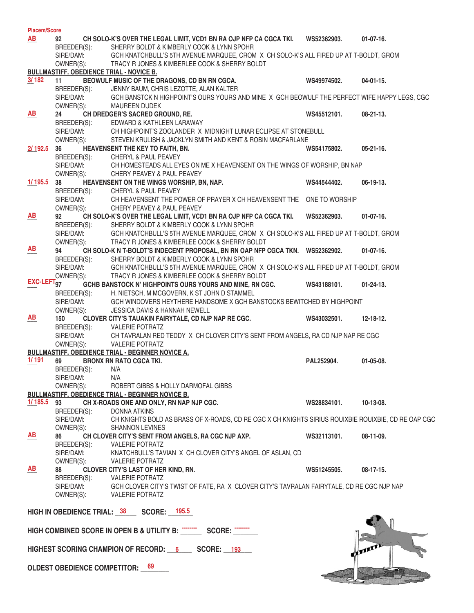| <b>Placem/Score</b>    |                                                              |                                                                                                           |             |                  |
|------------------------|--------------------------------------------------------------|-----------------------------------------------------------------------------------------------------------|-------------|------------------|
| AB                     | 92                                                           | CH SOLO-K'S OVER THE LEGAL LIMIT, VCD1 BN RA OJP NFP CA CGCA TKI.                                         | WS52362903. | $01-07-16.$      |
|                        | BREEDER(S):                                                  | SHERRY BOLDT & KIMBERLY COOK & LYNN SPOHR                                                                 |             |                  |
|                        | SIRE/DAM:                                                    | GCH KNATCHBULL'S 5TH AVENUE MARQUEE, CROM X CH SOLO-K'S ALL FIRED UP AT T-BOLDT, GROM                     |             |                  |
|                        | OWNER(S):<br><b>BULLMASTIFF. OBEDIENCE TRIAL - NOVICE B.</b> | TRACY R JONES & KIMBERLEE COOK & SHERRY BOLDT                                                             |             |                  |
| 3/182                  | 11                                                           | BEOWULF MUSIC OF THE DRAGONS, CD BN RN CGCA.                                                              | WS49974502. | $04 - 01 - 15$ . |
|                        | BREEDER(S):                                                  | JENNY BAUM, CHRIS LEZOTTE, ALAN KALTER                                                                    |             |                  |
|                        | SIRE/DAM:                                                    | GCH BANSTCK N HIGHPOINT'S OURS YOURS AND MINE X GCH BEOWULF THE PERFECT WIFE HAPPY LEGS, CGC              |             |                  |
|                        | OWNER(S):                                                    | <b>MAUREEN DUDEK</b>                                                                                      |             |                  |
| AB                     | 24                                                           | CH DREDGER'S SACRED GROUND, RE.                                                                           | WS45512101. | $08-21-13.$      |
|                        | BREEDER(S):                                                  | EDWARD & KATHLEEN LARAWAY                                                                                 |             |                  |
|                        | SIRE/DAM:                                                    | CH HIGHPOINT'S ZOOLANDER X MIDNIGHT LUNAR ECLIPSE AT STONEBULL                                            |             |                  |
|                        | OWNER(S):                                                    | STEVEN KRULISH & JACKLYN SMITH AND KENT & ROBIN MACFARLANE                                                |             |                  |
| 2/192.5 36             |                                                              | HEAVENSENT THE KEY TO FAITH, BN.                                                                          | WS54175802. | $05-21-16.$      |
|                        | BREEDER(S):                                                  | CHERYL & PAUL PEAVEY                                                                                      |             |                  |
|                        | SIRE/DAM:                                                    | CH HOMESTEADS ALL EYES ON ME X HEAVENSENT ON THE WINGS OF WORSHIP, BN NAP                                 |             |                  |
|                        | OWNER(S):                                                    | CHERY PEAVEY & PAUL PEAVEY                                                                                |             |                  |
| $1/195.5$ 38           |                                                              | HEAVENSENT ON THE WINGS WORSHIP, BN, NAP.                                                                 | WS44544402. | $06-19-13.$      |
|                        | BREEDER(S):<br>SIRE/DAM:                                     | CHERYL & PAUL PEAVEY                                                                                      |             |                  |
|                        | OWNER(S):                                                    | CH HEAVENSENT THE POWER OF PRAYER X CH HEAVENSENT THE ONE TO WORSHIP<br>CHERY PEAVEY & PAUL PEAVEY        |             |                  |
| <u>AB</u>              | 92                                                           | CH SOLO-K'S OVER THE LEGAL LIMIT, VCD1 BN RA OJP NFP CA CGCA TKI.                                         | WS52362903. | $01-07-16.$      |
|                        | BREEDER(S):                                                  | SHERRY BOLDT & KIMBERLY COOK & LYNN SPOHR                                                                 |             |                  |
|                        | SIRE/DAM:                                                    | GCH KNATCHBULL'S 5TH AVENUE MARQUEE, CROM X CH SOLO-K'S ALL FIRED UP AT T-BOLDT, GROM                     |             |                  |
|                        | OWNER(S):                                                    | TRACY R JONES & KIMBERLEE COOK & SHERRY BOLDT                                                             |             |                  |
| AB                     | 94                                                           | CH SOLO-K N T-BOLDT'S INDECENT PROPOSAL, BN RN OAP NFP CGCA TKN. WS52362902.                              |             | $01-07-16.$      |
|                        | BREEDER(S):                                                  | SHERRY BOLDT & KIMBERLY COOK & LYNN SPOHR                                                                 |             |                  |
|                        | SIRE/DAM:                                                    | GCH KNATCHBULL'S 5TH AVENUE MARQUEE, CROM X CH SOLO-K'S ALL FIRED UP AT T-BOLDT, GROM                     |             |                  |
|                        | OWNER(S):                                                    | TRACY R JONES & KIMBERLEE COOK & SHERRY BOLDT                                                             |             |                  |
| EXC-LEFT <sub>97</sub> |                                                              | GCHB BANSTOCK N' HIGHPOINTS OURS YOURS AND MINE, RN CGC.                                                  | WS43188101. | $01 - 24 - 13$ . |
|                        | BREEDER(S):                                                  | H. NIETSCH, M MCGOVERN, K ST JOHN D STAMMEL                                                               |             |                  |
|                        | SIRE/DAM:                                                    | GCH WINDOVERS HEYTHERE HANDSOME X GCH BANSTOCKS BEWITCHED BY HIGHPOINT                                    |             |                  |
|                        | OWNER(S):                                                    | <b>JESSICA DAVIS &amp; HANNAH NEWELL</b>                                                                  |             |                  |
| AB                     | 150                                                          | CLOVER CITY'S TAUAKIN FAIRYTALE, CD NJP NAP RE CGC.                                                       | WS43032501. | 12-18-12.        |
|                        | BREEDER(S):                                                  | <b>VALERIE POTRATZ</b><br>CH TAVRALAN RED TEDDY X CH CLOVER CITY'S SENT FROM ANGELS, RA CD NJP NAP RE CGC |             |                  |
|                        | SIRE/DAM:<br>OWNER(S):                                       | <b>VALERIE POTRATZ</b>                                                                                    |             |                  |
|                        |                                                              | <b>BULLMASTIFF. OBEDIENCE TRIAL - BEGINNER NOVICE A.</b>                                                  |             |                  |
| 1/191                  | 69                                                           | <b>BRONX RN RATO CGCA TKI.</b>                                                                            | PAL252904.  | $01-05-08.$      |
|                        | BREEDER(S):                                                  | N/A                                                                                                       |             |                  |
|                        | SIRE/DAM:                                                    | N/A                                                                                                       |             |                  |
|                        | OWNER(S):                                                    | ROBERT GIBBS & HOLLY DARMOFAL GIBBS                                                                       |             |                  |
|                        |                                                              | <b>BULLMASTIFF. OBEDIENCE TRIAL - BEGINNER NOVICE B.</b>                                                  |             |                  |
| $1/185.5$ 93           |                                                              | CH X-ROADS ONE AND ONLY, RN NAP NJP CGC.                                                                  | WS28834101. | 10-13-08.        |
|                        | BREEDER(S):                                                  | DONNA ATKINS                                                                                              |             |                  |
|                        | SIRE/DAM:                                                    | CH KNIGHTS BOLD AS BRASS OF X-ROADS, CD RE CGC X CH KNIGHTS SIRIUS ROUIXBIE ROUIXBIE, CD RE OAP CGC       |             |                  |
|                        | OWNER(S):                                                    | <b>SHANNON LEVINES</b>                                                                                    |             |                  |
| <b>AB</b>              | 86<br>BREEDER(S):                                            | CH CLOVER CITY'S SENT FROM ANGELS, RA CGC NJP AXP.<br><b>VALERIE POTRATZ</b>                              | WS32113101. | 08-11-09.        |
|                        | SIRE/DAM:                                                    | KNATCHBULL'S TAVIAN X CH CLOVER CITY'S ANGEL OF ASLAN, CD                                                 |             |                  |
|                        | OWNER(S):                                                    | <b>VALERIE POTRATZ</b>                                                                                    |             |                  |
| <b>AB</b>              | 88                                                           | <b>CLOVER CITY'S LAST OF HER KIND, RN.</b>                                                                | WS51245505. | $08-17-15.$      |
|                        | BREEDER(S):                                                  | <b>VALERIE POTRATZ</b>                                                                                    |             |                  |
|                        | SIRE/DAM:                                                    | GCH CLOVER CITY'S TWIST OF FATE, RA X CLOVER CITY'S TAVRALAN FAIRYTALE, CD RE CGC NJP NAP                 |             |                  |
|                        | OWNER(S):                                                    | <b>VALERIE POTRATZ</b>                                                                                    |             |                  |
|                        |                                                              |                                                                                                           |             |                  |
|                        |                                                              | HIGH IN OBEDIENCE TRIAL: 38 SCORE: 195.5                                                                  |             |                  |
|                        |                                                              |                                                                                                           |             |                  |
|                        |                                                              |                                                                                                           |             |                  |
|                        |                                                              | HIGHEST SCORING CHAMPION OF RECORD: 6 SCORE: 193                                                          |             |                  |

**OLDEST OBEDIENCE COMPETITOR: \_\_\_\_\_\_\_\_ 69**

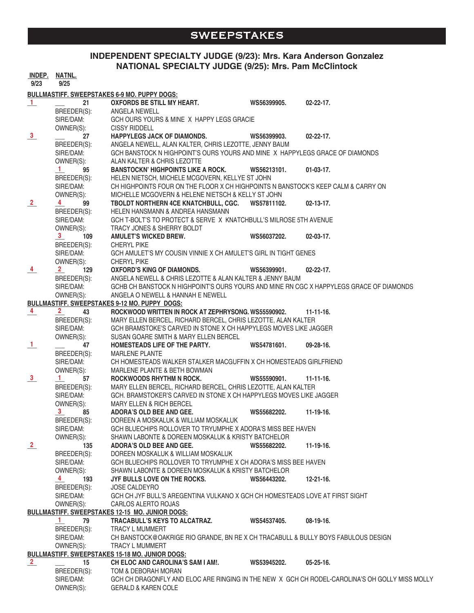#### **SWEEPSTAKES**

#### **INDEPENDENT SPECIALTY JUDGE (9/23): Mrs. Kara Anderson Gonzalez NATIONAL SPECIALTY JUDGE (9/25): Mrs. Pam McClintock**

|                      | <u>INDEP. NATNL.</u>                  |                                                                                                |             |                  |
|----------------------|---------------------------------------|------------------------------------------------------------------------------------------------|-------------|------------------|
| 9/23                 | 9/25                                  |                                                                                                |             |                  |
|                      |                                       | <b>BULLMASTIFF. SWEEPSTAKES 6-9 MO. PUPPY DOGS:</b>                                            |             |                  |
| $\perp$              | 21                                    | <b>OXFORDS BE STILL MY HEART.</b>                                                              | WS56399905. | $02 - 22 - 17$ . |
|                      | BREEDER(S):                           | ANGELA NEWELL                                                                                  |             |                  |
|                      | SIRE/DAM:                             | GCH OURS YOURS & MINE X HAPPY LEGS GRACIE                                                      |             |                  |
|                      | OWNER(S):                             | <b>CISSY RIDDELL</b>                                                                           |             |                  |
| $\frac{3}{2}$        | 27                                    | <b>HAPPYLEGS JACK OF DIAMONDS.</b>                                                             | WS56399903. | $02 - 22 - 17$ . |
|                      | BREEDER(S):                           | ANGELA NEWELL, ALAN KALTER, CHRIS LEZOTTE, JENNY BAUM                                          |             |                  |
|                      | SIRE/DAM:                             | GCH BANSTOCK N HIGHPOINT'S OURS YOURS AND MINE X HAPPYLEGS GRACE OF DIAMONDS                   |             |                  |
|                      | OWNER(S):                             | ALAN KALTER & CHRIS LEZOTTE                                                                    |             |                  |
|                      | $\mathbf{1}$<br>95                    | <b>BANSTOCKN' HIGHPOINTS LIKE A ROCK.</b>                                                      | WS56213101. | $01-03-17.$      |
|                      | BREEDER(S):                           | HELEN NIETSCH, MICHELE MCGOVERN, KELLYE ST JOHN                                                |             |                  |
|                      | SIRE/DAM:                             | CH HIGHPOINTS FOUR ON THE FLOOR X CH HIGHPOINTS N BANSTOCK'S KEEP CALM & CARRY ON              |             |                  |
|                      | OWNER(S):                             | MICHELLE MCGOVERN & HELENE NIETSCH & KELLY ST JOHN                                             |             |                  |
| $\frac{2}{\sqrt{2}}$ | $\frac{4}{\text{BREEDER(S)}}$         | TBOLDT NORTHERN 4CE KNATCHBULL, CGC. WS57811102.                                               |             | $02-13-17.$      |
|                      |                                       | HELEN HANSMANN & ANDREA HANSMANN                                                               |             |                  |
|                      | SIRE/DAM:                             | GCH T-BOLT'S TO PROTECT & SERVE X KNATCHBULL'S MILROSE 5TH AVENUE                              |             |                  |
|                      | OWNER(S):                             | TRACY JONES & SHERRY BOLDT                                                                     |             |                  |
|                      | 3 <sup>1</sup><br>109                 | <b>AMULET'S WICKED BREW.</b>                                                                   | WS56037202. | $02-03-17.$      |
|                      | breeder(s):<br>Sire/Dam:<br>Owner(s): | <b>CHERYL PIKE</b>                                                                             |             |                  |
|                      |                                       | GCH AMULET'S MY COUSIN VINNIE X CH AMULET'S GIRL IN TIGHT GENES                                |             |                  |
|                      |                                       | <b>CHERYL PIKE</b>                                                                             |             |                  |
| $\frac{4}{}$         | 129<br>$\overline{\mathbf{2}}$        | OXFORD'S KING OF DIAMONDS.                                                                     | WS56399901. | $02 - 22 - 17$ . |
|                      | BREEDER(S):                           | ANGELA NEWELL & CHRIS LEZOTTE & ALAN KALTER & JENNY BAUM                                       |             |                  |
|                      | SIRE/DAM:                             | GCHB CH BANSTOCK N HIGHPOINT'S OURS YOURS AND MINE RN CGC X HAPPYLEGS GRACE OF DIAMONDS        |             |                  |
|                      | OWNER(S):                             | ANGELA O NEWELL & HANNAH E NEWELL                                                              |             |                  |
|                      |                                       | <b>BULLMASTIFF. SWEEPSTAKES 9-12 MO. PUPPY DOGS:</b>                                           |             |                  |
| $\frac{4}{1}$        | $2^{\circ}$<br>43 — 1                 | ROCKWOOD WRITTEN IN ROCK AT ZEPHRYSONG, WS55590902.                                            |             | $11 - 11 - 16$ . |
|                      | BREEDER(S):                           | MARY ELLEN BERCEL, RICHARD BERCEL, CHRIS LEZOTTE, ALAN KALTER                                  |             |                  |
|                      | SIRE/DAM:                             | GCH BRAMSTOKE'S CARVED IN STONE X CH HAPPYLEGS MOVES LIKE JAGGER                               |             |                  |
|                      | OWNER(S):                             | SUSAN GOARE SMITH & MARY ELLEN BERCEL                                                          |             |                  |
| $\perp$              | 47                                    | HOMESTEADS LIFE OF THE PARTY.                                                                  | WS54781601. | 09-28-16.        |
|                      | BREEDER(S):                           | <b>MARLENE PLANTE</b>                                                                          |             |                  |
|                      | SIRE/DAM:                             | CH HOMESTEADS WALKER STALKER MACGUFFIN X CH HOMESTEADS GIRLFRIEND                              |             |                  |
|                      | OWNER(S):                             | MARLENE PLANTE & BETH BOWMAN                                                                   |             |                  |
| $\frac{3}{2}$        | $\frac{1}{\text{BREEDER(S)}}$         | ROCKWOODS RHYTHM N ROCK.                                                                       | WS55590901. | $11 - 11 - 16$ . |
|                      |                                       | MARY ELLEN BERCEL, RICHARD BERCEL, CHRIS LEZOTTE, ALAN KALTER                                  |             |                  |
|                      | SIRE/DAM:                             | GCH. BRAMSTOKER'S CARVED IN STONE X CH HAPPYLEGS MOVES LIKE JAGGER                             |             |                  |
|                      | OWNER(S):                             | <b>MARY ELLEN &amp; RICH BERCEL</b>                                                            |             |                  |
|                      | 3<br>85                               | ADORA'S OLD BEE AND GEE.                                                                       | WS55682202. | 11-19-16.        |
|                      | BREEDER(S):                           | DOREEN A MOSKALUK & WILLIAM MOSKALUK                                                           |             |                  |
|                      | SIRE/DAM:                             | GCH BLUECHIPS ROLLOVER TO TRYUMPHE X ADORA'S MISS BEE HAVEN                                    |             |                  |
|                      | OWNER(S):                             | SHAWN LABONTE & DOREEN MOSKALUK & KRISTY BATCHELOR                                             |             |                  |
| $\frac{2}{1}$        | 135                                   | ADORA'S OLD BEE AND GEE.                                                                       | WS55682202. | $11-19-16.$      |
|                      | BREEDER(S):                           | DOREEN MOSKALUK & WILLIAM MOSKALUK                                                             |             |                  |
|                      | SIRE/DAM:                             | GCH BLUECHIPS ROLLOVER TO TRYUMPHE X CH ADORA'S MISS BEE HAVEN                                 |             |                  |
|                      | OWNER(S):                             | SHAWN LABONTE & DOREEN MOSKALUK & KRISTY BATCHELOR                                             |             |                  |
|                      | $\overline{4}$<br>193                 | JYF BULLS LOVE ON THE ROCKS.                                                                   | WS56443202. | $12 - 21 - 16$ . |
|                      | BREEDER(S):                           | <b>JOSE CALDEYRO</b>                                                                           |             |                  |
|                      | SIRE/DAM:                             | GCH CH JYF BULL'S AREGENTINA VULKANO X GCH CH HOMESTEADS LOVE AT FIRST SIGHT                   |             |                  |
|                      | OWNER(S):                             | CARLOS ALERTO ROJAS                                                                            |             |                  |
|                      |                                       | <b>BULLMASTIFF. SWEEPSTAKES 12-15 MO. JUNIOR DOGS:</b>                                         |             |                  |
|                      | $1 -$<br>79                           | TRACABULL'S KEYS TO ALCATRAZ.                                                                  | WS54537405. | $08-19-16.$      |
|                      | BREEDER(S):                           | TRACY L MUMMERT                                                                                |             |                  |
|                      | SIRE/DAM:                             | CH BANSTOCK@OAKRIGE RIO GRANDE, BN RE X CH TRACABULL & BULLY BOYS FABULOUS DESIGN              |             |                  |
|                      | OWNER(S):                             | TRACY L MUMMERT                                                                                |             |                  |
|                      |                                       | <b>BULLMASTIFF. SWEEPSTAKES 15-18 MO. JUNIOR DOGS:</b>                                         |             |                  |
| $\frac{2}{\sqrt{2}}$ | 15                                    | CH ELOC AND CAROLINA'S SAM I AM!.                                                              | WS53945202. | $05 - 25 - 16$ . |
|                      | BREEDER(S):                           | TOM & DEBORAH MORAN                                                                            |             |                  |
|                      | SIRE/DAM:                             | GCH CH DRAGONFLY AND ELOC ARE RINGING IN THE NEW X GCH CH RODEL-CAROLINA'S OH GOLLY MISS MOLLY |             |                  |
|                      | OWNER(S):                             | <b>GERALD &amp; KAREN COLE</b>                                                                 |             |                  |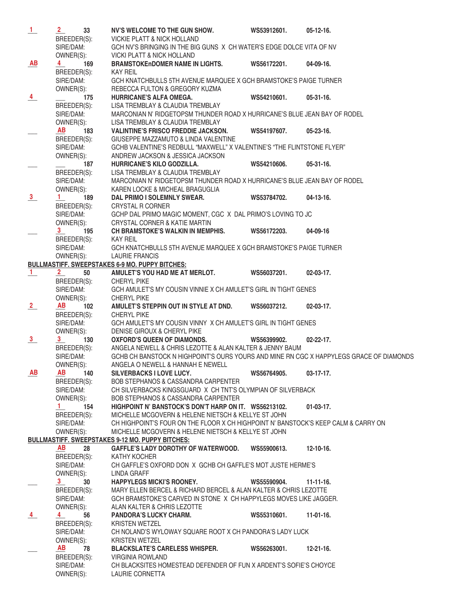| $\frac{1}{2}$   | 2 <sub>1</sub>                                  | 33              | NV'S WELCOME TO THE GUN SHOW.                                                           | WS53912601.        | $05-12-16.$      |
|-----------------|-------------------------------------------------|-----------------|-----------------------------------------------------------------------------------------|--------------------|------------------|
|                 | BREEDER(S):                                     |                 | VICKIE PLATT & NICK HOLLAND                                                             |                    |                  |
|                 | SIRE/DAM:                                       |                 | GCH NV'S BRINGING IN THE BIG GUNS X CH WATER'S EDGE DOLCE VITA OF NV                    |                    |                  |
|                 | OWNER(S):                                       |                 | <b>VICKI PLATT &amp; NICK HOLLAND</b>                                                   |                    |                  |
| AB              | 4                                               | 169             | <b>BRAMSTOKEnDOMER NAME IN LIGHTS.</b>                                                  | WS56172201.        | 04-09-16.        |
|                 | BREEDER(S):                                     |                 | <b>KAY REIL</b>                                                                         |                    |                  |
|                 |                                                 |                 |                                                                                         |                    |                  |
|                 | SIRE/DAM:                                       |                 | GCH KNATCHBULLS 5TH AVENUE MARQUEE X GCH BRAMSTOKE'S PAIGE TURNER                       |                    |                  |
|                 | OWNER(S):                                       |                 | REBECCA FULTON & GREGORY KUZMA                                                          |                    |                  |
| $\frac{4}{ }$   |                                                 | 175             | HURRICANE'S ALFA OMEGA.                                                                 | WS54210601.        | $05-31-16.$      |
|                 | BREEDER(S):                                     |                 | LISA TREMBLAY & CLAUDIA TREMBLAY                                                        |                    |                  |
|                 | SIRE/DAM:                                       |                 | MARCONIAN N' RIDGETOPSM THUNDER ROAD X HURRICANE'S BLUE JEAN BAY OF RODEL               |                    |                  |
|                 | OWNER(S):                                       |                 | LISA TREMBLAY & CLAUDIA TREMBLAY                                                        |                    |                  |
|                 | <b>AB</b>                                       | 183             | <b>VALINTINE'S FRISCO FREDDIE JACKSON.</b>                                              | WS54197607.        | $05 - 23 - 16.$  |
|                 | BREEDER(S):                                     |                 | GIUSEPPE MAZZAMUTO & LINDA VALENTINE                                                    |                    |                  |
|                 | SIRE/DAM:                                       |                 | GCHB VALENTINE'S REDBULL "MAXWELL" X VALENTINE'S "THE FLINTSTONE FLYER"                 |                    |                  |
|                 | OWNER(S):                                       |                 | ANDREW JACKSON & JESSICA JACKSON                                                        |                    |                  |
|                 |                                                 | 187             | HURRICANE'S KILO GODZILLA.                                                              | WS54210606.        | $05-31-16.$      |
|                 |                                                 |                 |                                                                                         |                    |                  |
|                 | BREEDER(S):                                     |                 | LISA TREMBLAY & CLAUDIA TREMBLAY                                                        |                    |                  |
|                 | SIRE/DAM:                                       |                 | MARCONIAN N' RIDGETOPSM THUNDER ROAD X HURRICANE'S BLUE JEAN BAY OF RODEL               |                    |                  |
|                 | OWNER(S):                                       |                 | KAREN LOCKE & MICHEAL BRAGUGLIA                                                         |                    |                  |
| $\frac{3}{2}$   | $1 \quad$                                       | 189             | DAL PRIMO I SOLEMNLY SWEAR.                                                             | WS53784702.        | $04-13-16.$      |
|                 | BREEDER(S):                                     |                 | <b>CRYSTAL R CORNER</b>                                                                 |                    |                  |
|                 | SIRE/DAM:                                       |                 | GCHP DAL PRIMO MAGIC MOMENT, CGC X DAL PRIMO'S LOVING TO JC                             |                    |                  |
|                 | OWNER(S):                                       |                 | CRYSTAL CORNER & KATIE MARTIN                                                           |                    |                  |
|                 | 3<br>BREEDER(S): CH BRAM:<br>SIRE/DAM: GCH KNAT |                 | CH BRAMSTOKE'S WALKIN IN MEMPHIS.                                                       | WS56172203.        | 04-09-16         |
|                 |                                                 |                 |                                                                                         |                    |                  |
|                 |                                                 |                 | GCH KNATCHBULLS 5TH AVENUE MARQUEE X GCH BRAMSTOKE'S PAIGE TURNER                       |                    |                  |
|                 |                                                 |                 |                                                                                         |                    |                  |
|                 | OWNER(S):                                       |                 | LAURIE FRANCIS                                                                          |                    |                  |
|                 |                                                 |                 | <b>BULLMASTIFF, SWEEPSTAKES 6-9 MO. PUPPY BITCHES:</b>                                  |                    |                  |
| $\frac{1}{ }$   | $2 \quad$                                       | 50              | AMULET'S YOU HAD ME AT MERLOT.                                                          | WS56037201.        | $02 - 03 - 17$ . |
|                 | BREEDER(S):<br>SIRE/DAM:                        |                 | <b>CHERYL PIKE</b>                                                                      |                    |                  |
|                 |                                                 |                 | GCH AMULET'S MY COUSIN VINNIE X CH AMULET'S GIRL IN TIGHT GENES                         |                    |                  |
|                 | OWNER(S):                                       |                 | <b>CHERYL PIKE</b>                                                                      |                    |                  |
| $\frac{2}{ }$   | <b>AB</b>                                       | 102             | AMULET'S STEPPIN OUT IN STYLE AT DND.                                                   | WS56037212.        | $02 - 03 - 17$ . |
|                 | BREEDER(S):                                     |                 | CHERYL PIKE                                                                             |                    |                  |
|                 | SIRE/DAM:                                       |                 | GCH AMULET'S MY COUSIN VINNY X CH AMULET'S GIRL IN TIGHT GENES                          |                    |                  |
|                 | OWNER(S):                                       |                 | DENISE GIROUX & CHERYL PIKE                                                             |                    |                  |
| $\frac{3}{2}$   | 3 <sup>1</sup>                                  | 130             | <b>OXFORD'S QUEEN OF DIAMONDS.</b>                                                      | WS56399902.        | $02 - 22 - 17$ . |
|                 |                                                 |                 | ANGELA NEWELL & CHRIS LEZOTTE & ALAN KALTER & JENNY BAUM                                |                    |                  |
|                 | BREEDER(S):                                     |                 |                                                                                         |                    |                  |
|                 | SIRE/DAM:                                       |                 | GCHB CH BANSTOCK N HIGHPOINT'S OURS YOURS AND MINE RN CGC X HAPPYLEGS GRACE OF DIAMONDS |                    |                  |
|                 | OWNER(S):                                       |                 | ANGELA O NEWELL & HANNAH E NEWELL                                                       |                    |                  |
| $\overline{AB}$ | AB 140                                          |                 | <b>SILVERBACKS I LOVE LUCY.</b>                                                         | WS56764905.        | $03-17-17$ .     |
|                 | BREEDER(S):                                     |                 | <b>BOB STEPHANOS &amp; CASSANDRA CARPENTER</b>                                          |                    |                  |
|                 | SIRE/DAM:                                       |                 | CH SILVERBACKS KINGSGUARD X CH TNT'S OLYMPIAN OF SILVERBACK                             |                    |                  |
|                 | OWNER(S):                                       |                 | BOB STEPHANOS & CASSANDRA CARPENTER                                                     |                    |                  |
|                 | $1 \quad$                                       | 154             | HIGHPOINT N' BANSTOCK'S DON'T HARP ON IT. WS56213102.                                   |                    | $01-03-17.$      |
|                 | BREEDER(S):                                     |                 | MICHELLE MCGOVERN & HELENE NIETSCH & KELLYE ST JOHN                                     |                    |                  |
|                 | SIRE/DAM:                                       |                 | CH HIGHPOINT'S FOUR ON THE FLOOR X CH HIGHPOINT N' BANSTOCK'S KEEP CALM & CARRY ON      |                    |                  |
|                 | OWNER(S):                                       |                 | MICHELLE MCGOVERN & HELENE NIETSCH & KELLYE ST JOHN                                     |                    |                  |
|                 |                                                 |                 | <b>BULLMASTIFF. SWEEPSTAKES 9-12 MO. PUPPY BITCHES:</b>                                 |                    |                  |
|                 |                                                 |                 |                                                                                         |                    |                  |
|                 | <b>AB</b>                                       | 28              | GAFFLE'S LADY DOROTHY OF WATERWOOD. WS55900613.                                         |                    | $12 - 10 - 16$ . |
|                 | BREEDER(S):                                     |                 | KATHY KOCHER                                                                            |                    |                  |
|                 | SIRE/DAM:                                       |                 | CH GAFFLE'S OXFORD DON X GCHB CH GAFFLE'S MOT JUSTE HERME'S                             |                    |                  |
|                 | OWNER(S):                                       |                 | LINDA GRAFF                                                                             |                    |                  |
|                 | 3 <sup>1</sup>                                  | 30 <sup>°</sup> | <b>HAPPYLEGS MICKI'S ROONEY.</b>                                                        | <b>WS55590904.</b> | $11 - 11 - 16$ . |
|                 | BREEDER(S):                                     |                 | MARY ELLEN BERCEL & RICHARD BERCEL & ALAN KALTER & CHRIS LEZOTTE                        |                    |                  |
|                 | SIRE/DAM:                                       |                 | GCH BRAMSTOKE'S CARVED IN STONE X CH HAPPYLEGS MOVES LIKE JAGGER.                       |                    |                  |
|                 | OWNER(S):                                       |                 | ALAN KALTER & CHRIS LEZOTTE                                                             |                    |                  |
|                 | $\overline{4}$                                  | 56              | <b>PANDORA'S LUCKY CHARM.</b>                                                           | WS55310601.        | $11-01-16$ .     |
| $\frac{4}{ }$   |                                                 |                 |                                                                                         |                    |                  |
|                 | BREEDER(S):                                     |                 | <b>KRISTEN WETZEL</b>                                                                   |                    |                  |
|                 | SIRE/DAM:                                       |                 | CH NOLAND'S WYLOWAY SQUARE ROOT X CH PANDORA'S LADY LUCK                                |                    |                  |
|                 | OWNER(S):                                       |                 | <b>KRISTEN WETZEL</b>                                                                   |                    |                  |
|                 | <b>AB</b>                                       | 78              | <b>BLACKSLATE'S CARELESS WHISPER.</b>                                                   | WS56263001.        | $12 - 21 - 16$ . |
|                 | BREEDER(S):                                     |                 | VIRGINIA ROWLAND                                                                        |                    |                  |
|                 | SIRE/DAM:                                       |                 | CH BLACKSITES HOMESTEAD DEFENDER OF FUN X ARDENT'S SOFIE'S CHOYCE                       |                    |                  |
|                 | OWNER(S):                                       |                 | LAURIE CORNETTA                                                                         |                    |                  |
|                 |                                                 |                 |                                                                                         |                    |                  |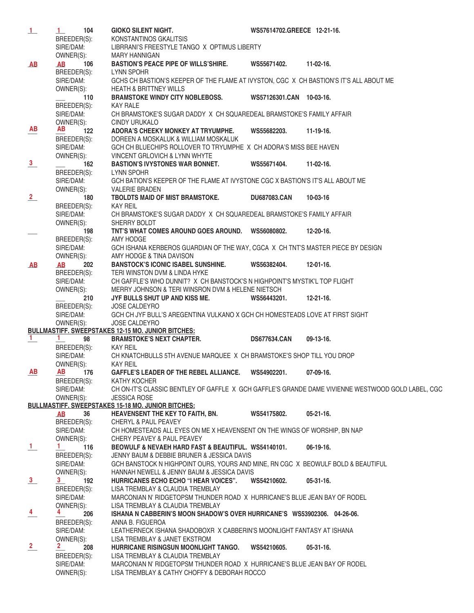| $\perp$        | 1<br>104                           | <b>GIOKO SILENT NIGHT.</b>                                                                                                     | WS57614702.GREECE 12-21-16. |                  |
|----------------|------------------------------------|--------------------------------------------------------------------------------------------------------------------------------|-----------------------------|------------------|
|                | BREEDER(S):                        | KONSTANTINOS GKALITSIS                                                                                                         |                             |                  |
|                | SIRE/DAM:                          | LIBRRANI'S FREESTYLE TANGO X OPTIMUS LIBERTY                                                                                   |                             |                  |
|                | OWNER(S):                          | <b>MARY HANNIGAN</b>                                                                                                           |                             |                  |
| AB             | 106<br>AB                          | <b>BASTION'S PEACE PIPE OF WILLS'SHIRE.</b>                                                                                    | WS55671402.                 | 11-02-16.        |
|                | BREEDER(S):                        | LYNN SPOHR                                                                                                                     |                             |                  |
|                | SIRE/DAM:                          | GCHS CH BASTION'S KEEPER OF THE FLAME AT IVYSTON, CGC X CH BASTION'S IT'S ALL ABOUT ME                                         |                             |                  |
|                | OWNER(S):                          | <b>HEATH &amp; BRITTNEY WILLS</b>                                                                                              |                             |                  |
|                | 110                                | <b>BRAMSTOKE WINDY CITY NOBLEBOSS.</b>                                                                                         | WS57126301.CAN 10-03-16.    |                  |
|                | BREEDER(S):                        | <b>KAY RALE</b>                                                                                                                |                             |                  |
|                | SIRE/DAM:                          | CH BRAMSTOKE'S SUGAR DADDY X CH SQUAREDEAL BRAMSTOKE'S FAMILY AFFAIR                                                           |                             |                  |
|                | OWNER(S):                          | <b>CINDY URUKALO</b>                                                                                                           |                             |                  |
| <b>AB</b>      | <b>AB</b><br>122                   | ADORA'S CHEEKY MONKEY AT TRYUMPHE.                                                                                             | WS55682203.                 | 11-19-16.        |
|                | BREEDER(S):                        | DOREEN A MOSKALUK & WILLIAM MOSKALUK                                                                                           |                             |                  |
|                | SIRE/DAM:                          | GCH CH BLUECHIPS ROLLOVER TO TRYUMPHE X CH ADORA'S MISS BEE HAVEN                                                              |                             |                  |
|                | OWNER(S):                          | VINCENT GRLOVICH & LYNN WHYTE                                                                                                  |                             |                  |
| $\frac{3}{2}$  | 162                                | <b>BASTION'S IVYSTONES WAR BONNET.</b>                                                                                         | WS55671404.                 | $11-02-16$ .     |
|                | BREEDER(S):                        | LYNN SPOHR                                                                                                                     |                             |                  |
|                | SIRE/DAM:                          | GCH BATION'S KEEPER OF THE FLAME AT IVYSTONE CGC X BASTION'S IT'S ALL ABOUT ME                                                 |                             |                  |
|                | OWNER(S):                          | <b>VALERIE BRADEN</b>                                                                                                          |                             |                  |
| $\frac{2}{ }$  | 180                                | TBOLDTS MAID OF MIST BRAMSTOKE.                                                                                                | <b>DU687083.CAN</b>         | 10-03-16         |
|                | BREEDER(S):                        | KAY REIL                                                                                                                       |                             |                  |
|                | SIRE/DAM:                          | CH BRAMSTOKE'S SUGAR DADDY X CH SQUAREDEAL BRAMSTOKE'S FAMILY AFFAIR                                                           |                             |                  |
|                | OWNER(S):                          | SHERRY BOLDT                                                                                                                   |                             |                  |
|                | 198                                | TNT'S WHAT COMES AROUND GOES AROUND. WS56080802.                                                                               |                             | 12-20-16.        |
|                | BREEDER(S):                        | AMY HODGE                                                                                                                      |                             |                  |
|                | SIRE/DAM:                          | GCH ISHANA KERBEROS GUARDIAN OF THE WAY, CGCA X CH TNT'S MASTER PIECE BY DESIGN                                                |                             |                  |
|                | OWNER(S):                          | AMY HODGE & TINA DAVISON                                                                                                       |                             |                  |
| AB             | 202<br>AB                          | <b>BANSTOCK'S ICONIC ISABEL SUNSHINE.</b>                                                                                      | WS56382404.                 | $12 - 01 - 16$ . |
|                | BREEDER(S):                        | TERI WINSTON DVM & LINDA HYKE                                                                                                  |                             |                  |
|                | SIRE/DAM:                          | CH GAFFLE'S WHO DUNNIT? X CH BANSTOCK'S N HIGHPOINT'S MYSTIK'L TOP FLIGHT                                                      |                             |                  |
|                | OWNER(S):                          | MERRY JOHNSON & TERI WINSRON DVM & HELENE NIETSCH                                                                              |                             |                  |
|                | 210                                | JYF BULLS SHUT UP AND KISS ME.                                                                                                 | WS56443201.                 | $12 - 21 - 16$ . |
|                | BREEDER(S):                        | JOSE CALDEYRO                                                                                                                  |                             |                  |
|                | SIRE/DAM:                          | GCH CH JYF BULL'S AREGENTINA VULKANO X GCH CH HOMESTEADS LOVE AT FIRST SIGHT                                                   |                             |                  |
|                | OWNER(S):                          | <b>JOSE CALDEYRO</b>                                                                                                           |                             |                  |
|                |                                    | <b>BULLMASTIFF. SWEEPSTAKES 12-15 MO. JUNIOR BITCHES:</b>                                                                      |                             |                  |
| $\mathbf{1}$   | 1.<br>98                           | <b>BRAMSTOKE'S NEXT CHAPTER.</b>                                                                                               | <b>DS677634.CAN</b>         | $09-13-16.$      |
|                |                                    | BREEDER(S): KAY REIL<br>SIRE/DAM: CH KNATCHBULLS 5TH AVENUE MARQUEE X CH BRAMSTOKE'S SHOP TILL YOU DROP                        |                             |                  |
|                |                                    |                                                                                                                                |                             |                  |
|                |                                    |                                                                                                                                |                             |                  |
| AB             | <b>AB</b><br>176                   | GAFFLE'S LEADER OF THE REBEL ALLIANCE. WS54902201.                                                                             |                             | 07-09-16.        |
|                | BREEDER(S):                        | KATHY KOCHER                                                                                                                   |                             |                  |
|                | SIRE/DAM:                          | CH ON-IT'S CLASSIC BENTLEY OF GAFFLE X GCH GAFFLE'S GRANDE DAME VIVIENNE WESTWOOD GOLD LABEL, CGC                              |                             |                  |
|                | OWNER(S):                          | <b>JESSICA ROSE</b>                                                                                                            |                             |                  |
|                |                                    | <b>BULLMASTIFF. SWEEPSTAKES 15-18 MO. JUNIOR BITCHES:</b><br><b>HEAVENSENT THE KEY TO FAITH, BN.</b>                           | WS54175802.                 | $05 - 21 - 16.$  |
|                | 36<br>AB<br>BREEDER(S):            |                                                                                                                                |                             |                  |
|                | SIRE/DAM:                          | <b>CHERYL &amp; PAUL PEAVEY</b><br>CH HOMESTEADS ALL EYES ON ME X HEAVENSENT ON THE WINGS OF WORSHIP, BN NAP                   |                             |                  |
|                | OWNER(S):                          | CHERY PEAVEY & PAUL PEAVEY                                                                                                     |                             |                  |
|                | $\mathbf{1}$<br>116                | BEOWULF & NEVAEH HARD FAST & BEAUTIFUL. WS54140101.                                                                            |                             | 06-19-16.        |
| $\perp$        |                                    |                                                                                                                                |                             |                  |
|                | BREEDER(S):<br>SIRE/DAM:           | JENNY BAUM & DEBBIE BRUNER & JESSICA DAVIS<br>GCH BANSTOCK N HIGHPOINT OURS, YOURS AND MINE, RN CGC X BEOWULF BOLD & BEAUTIFUL |                             |                  |
|                | OWNER(S):                          | HANNAH NEWELL & JENNY BAUM & JESSICA DAVIS                                                                                     |                             |                  |
|                | 3<br>192                           | HURRICANES ECHO ECHO "I HEAR VOICES".                                                                                          | WS54210602.                 | $05-31-16.$      |
| $\frac{3}{2}$  | BREEDER(S):                        | LISA TREMBLAY & CLAUDIA TREMBLAY                                                                                               |                             |                  |
|                | SIRE/DAM:                          | MARCONIAN N' RIDGETOPSM THUNDER ROAD X HURRICANE'S BLUE JEAN BAY OF RODEL                                                      |                             |                  |
|                | OWNER(S):                          | LISA TREMBLAY & CLAUDIA TREMBLAY                                                                                               |                             |                  |
|                | $\overline{4}$                     |                                                                                                                                |                             |                  |
| $\frac{4}{1}$  | 206                                | ISHANA N CABBERIN'S MOON SHADOW'S OVER HURRICANE'S WS53902306. 04-26-06.                                                       |                             |                  |
|                | BREEDER(S):<br>SIRE/DAM:           | ANNA B. FIGUEROA<br>LEATHERNECK ISHANA SHADOBOXR X CABBERIN'S MOONLIGHT FANTASY AT ISHANA                                      |                             |                  |
|                |                                    | LISA TREMBLAY & JANET EKSTROM                                                                                                  |                             |                  |
| $\frac{2}{\ }$ | OWNER(S):<br>$\overline{2}$<br>208 | HURRICANE RISINGSUN MOONLIGHT TANGO.                                                                                           | WS54210605.                 | $05-31-16.$      |
|                | BREEDER(S):                        | LISA TREMBLAY & CLAUDIA TREMBLAY                                                                                               |                             |                  |
|                | SIRE/DAM:                          | MARCONIAN N' RIDGETOPSM THUNDER ROAD X HURRICANE'S BLUE JEAN BAY OF RODEL                                                      |                             |                  |
|                | OWNER(S):                          | LISA TREMBLAY & CATHY CHOFFY & DEBORAH ROCCO                                                                                   |                             |                  |
|                |                                    |                                                                                                                                |                             |                  |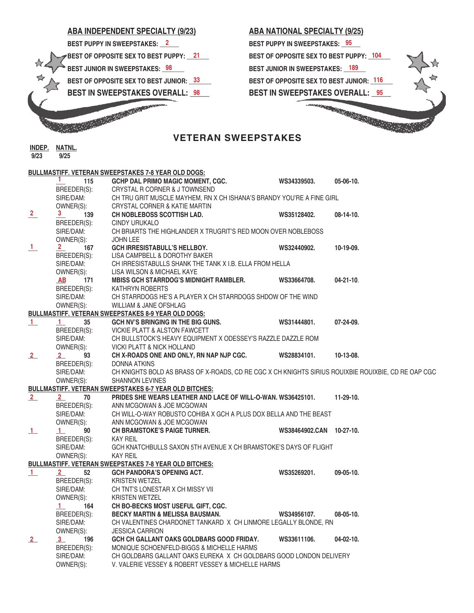

## **ABA NATIONAL SPECIALTY (9/25)** 21 BEST OF OPPOSITE SEX TO BEST PUPPY: \_<sup>104</sup> **BEST OF OPPOSITE SEX TO BEST JUNIOR:**  $\frac{116}{116}$ **BEST IN SWEEPSTAKES OVERALL: \_95\_\_\_**

 **9/23 9/25**

|               |                                                            | <b>BULLMASTIFF. VETERAN SWEEPSTAKES 7-8 YEAR OLD DOGS:</b>                                          |                          |                  |
|---------------|------------------------------------------------------------|-----------------------------------------------------------------------------------------------------|--------------------------|------------------|
|               | 1.<br>115                                                  | <b>GCHP DAL PRIMO MAGIC MOMENT, CGC.</b>                                                            | WS34339503.              | $05-06-10.$      |
|               | BREEDER(S):                                                | CRYSTAL R CORNER & J TOWNSEND                                                                       |                          |                  |
|               | SIRE/DAM:<br>OWNER(S):                                     | CH TRU GRIT MUSCLE MAYHEM, RN X CH ISHANA'S BRANDY YOU'RE A FINE GIRL                               |                          |                  |
|               | OWNER(S):                                                  | CRYSTAL CORNER & KATIE MARTIN                                                                       |                          |                  |
| $\frac{2}{1}$ | 139<br>3                                                   | CH NOBLEBOSS SCOTTISH LAD.                                                                          | WS35128402.              | $08-14-10.$      |
|               | BREEDER(S):                                                | CINDY URUKALO                                                                                       |                          |                  |
|               | SIRE/DAM:                                                  | CH BRIARTS THE HIGHLANDER X TRUGRIT'S RED MOON OVER NOBLEBOSS                                       |                          |                  |
|               | OWNER(S):                                                  | <b>JOHN LEE</b>                                                                                     |                          |                  |
| $\perp$       | رد):<br><b>167</b><br>2 <sub>1</sub>                       | <b>GCH IRRESISTABULL'S HELLBOY.</b>                                                                 | WS32440902.              | 10-19-09.        |
|               | BREEDER(S):<br>SIRE/DAM·                                   | LISA CAMPBELL & DOROTHY BAKER                                                                       |                          |                  |
|               | SIRE/DAM:                                                  | CH IRRESISTABULLS SHANK THE TANK X I.B. ELLA FROM HELLA                                             |                          |                  |
|               |                                                            | LISA WILSON & MICHAEL KAYE                                                                          |                          |                  |
|               |                                                            | <b>MBISS GCH STARRDOG'S MIDNIGHT RAMBLER.</b>                                                       | WS33664708.              | $04 - 21 - 10$ . |
|               | OWNER(S):<br><b>AB</b> 171<br>BREEDER(S):<br>SIRE/DAM:     | KATHRYN ROBERTS                                                                                     |                          |                  |
|               |                                                            | CH STARRDOGS HE'S A PLAYER X CH STARRDOGS SHDOW OF THE WIND                                         |                          |                  |
|               | OWNER(S):                                                  | WILLIAM & JANE OFSHLAG                                                                              |                          |                  |
|               |                                                            | <b>BULLMASTIFF. VETERAN SWEEPSTAKES 8-9 YEAR OLD DOGS:</b>                                          |                          |                  |
| $\perp$       | $1 -$<br>35                                                | GCH NV'S BRINGING IN THE BIG GUNS.                                                                  | WS31444801.              | 07-24-09.        |
|               |                                                            | VICKIE PLATT & ALSTON FAWCETT                                                                       |                          |                  |
|               | BREEDER(S):<br>SIRE/DAM:                                   | CH BULLSTOCK'S HEAVY EQUIPMENT X ODESSEY'S RAZZLE DAZZLE ROM                                        |                          |                  |
|               |                                                            | VICKI PLATT & NICK HOLLAND                                                                          |                          |                  |
| 2             |                                                            | CH X-ROADS ONE AND ONLY, RN NAP NJP CGC.                                                            | WS28834101.              | $10-13-08$ .     |
|               |                                                            | DONNA ATKINS                                                                                        |                          |                  |
|               | OWNER(S):<br>2 93<br>BREEDER(S):<br>SIRE/DAM:<br>OWNER(S): | CH KNIGHTS BOLD AS BRASS OF X-ROADS, CD RE CGC X CH KNIGHTS SIRIUS ROUIXBIE ROUIXBIE, CD RE OAP CGC |                          |                  |
|               |                                                            | <b>SHANNON LEVINES</b>                                                                              |                          |                  |
|               |                                                            | <b>BULLMASTIFF. VETERAN SWEEPSTAKES 6-7 YEAR OLD BITCHES:</b>                                       |                          |                  |
| 2             | $2 \sqrt{2}$<br>70 — 10                                    | PRIDES SHE WEARS LEATHER AND LACE OF WILL-O-WAN. WS36425101.                                        |                          | $11-29-10.$      |
|               | BREEDER(S):                                                | ANN MCGOWAN & JOE MCGOWAN                                                                           |                          |                  |
|               |                                                            | CH WILL-O-WAY ROBUSTO COHIBA X GCH A PLUS DOX BELLA AND THE BEAST                                   |                          |                  |
|               | SIRE/DAM:<br>OWNER(S):                                     | ANN MCGOWAN & JOE MCGOWAN                                                                           |                          |                  |
| $\perp$       | — 90<br>BREEDER(S):<br>SIRE/DAM·                           | <b>CH BRAMSTOKE'S PAIGE TURNER.</b>                                                                 | WS38464902.CAN 10-27-10. |                  |
|               |                                                            | KAY REIL                                                                                            |                          |                  |
|               | SIRE/DAM:                                                  | GCH KNATCHBULLS SAXON 5TH AVENUE X CH BRAMSTOKE'S DAYS OF FLIGHT                                    |                          |                  |
|               | OWNER(S):                                                  | KAY REIL                                                                                            |                          |                  |
|               |                                                            | <b>BULLMASTIFF. VETERAN SWEEPSTAKES 7-8 YEAR OLD BITCHES:</b>                                       |                          |                  |
| $\perp$       | $2 \sqrt{2}$                                               | <b>GCH PANDORA'S OPENING ACT.</b>                                                                   | WS35269201.              | $09-05-10.$      |
|               | BREEDER(S):                                                | <b>KRISTEN WETZEL</b>                                                                               |                          |                  |
|               | SIRE/DAM:                                                  | CH TNT'S LONESTAR X CH MISSY VII                                                                    |                          |                  |
|               | OWNER(S):                                                  | <b>KRISTEN WETZEL</b>                                                                               |                          |                  |
|               |                                                            | CH BO-BECKS MOST USEFUL GIFT, CGC.                                                                  |                          |                  |
|               | $\frac{1}{\text{BREEDER(S)}}$                              | <b>BECKY MARTIN &amp; MELISSA BAUSMAN.</b>                                                          | WS34956107.              | $08-05-10.$      |
|               | SIRE/DAM:                                                  | CH VALENTINES CHARDONET TANKARD X CH LINMORE LEGALLY BLONDE, RN                                     |                          |                  |
|               | OWNER(S):                                                  | <b>JESSICA CARRION</b>                                                                              |                          |                  |
| 2             | 196<br>3                                                   | GCH CH GALLANT OAKS GOLDBARS GOOD FRIDAY.                                                           | WS33611106.              | $04-02-10.$      |
|               | BREEDER(S):                                                | MONIQUE SCHOENFELD-BIGGS & MICHELLE HARMS                                                           |                          |                  |
|               | SIRE/DAM:                                                  | CH GOLDBARS GALLANT OAKS EUREKA X CH GOLDBARS GOOD LONDON DELIVERY                                  |                          |                  |
|               | OWNER(S):                                                  | V. VALERIE VESSEY & ROBERT VESSEY & MICHELLE HARMS                                                  |                          |                  |